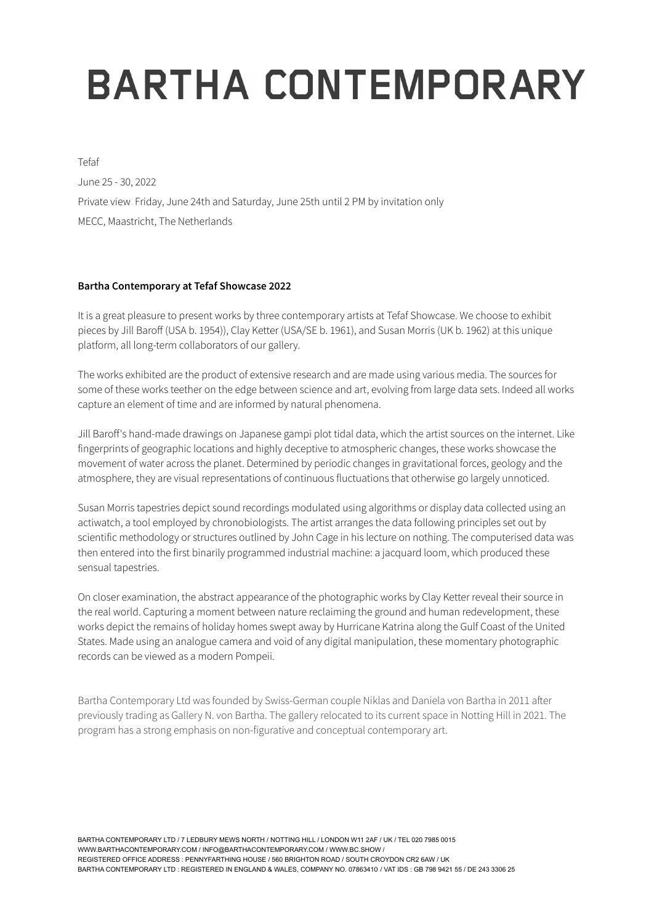## **BARTHA CONTEMPORARY**

Tefaf June 25 - 30, 2022 Private view Friday, June 24th and Saturday, June 25th until 2 PM by invitation only MECC, Maastricht, The Netherlands

## **Bartha Contemporary at Tefaf Showcase 2022**

It is a great pleasure to present works by three contemporary artists at Tefaf Showcase. We choose to exhibit pieces by Jill Baroff (USA b. 1954)), Clay Ketter (USA/SE b. 1961), and Susan Morris (UK b. 1962) at this unique platform, all long-term collaborators of our gallery.

The works exhibited are the product of extensive research and are made using various media. The sources for some of these works teether on the edge between science and art, evolving from large data sets. Indeed all works capture an element of time and are informed by natural phenomena.

Jill Baroff's hand-made drawings on Japanese gampi plot tidal data, which the artist sources on the internet. Like fingerprints of geographic locations and highly deceptive to atmospheric changes, these works showcase the movement of water across the planet. Determined by periodic changes in gravitational forces, geology and the atmosphere, they are visual representations of continuous fluctuations that otherwise go largely unnoticed.

Susan Morris tapestries depict sound recordings modulated using algorithms or display data collected using an actiwatch, a tool employed by chronobiologists. The artist arranges the data following principles set out by scientific methodology or structures outlined by John Cage in his lecture on nothing. The computerised data was then entered into the first binarily programmed industrial machine: a jacquard loom, which produced these sensual tapestries.

On closer examination, the abstract appearance of the photographic works by Clay Ketter reveal their source in the real world. Capturing a moment between nature reclaiming the ground and human redevelopment, these works depict the remains of holiday homes swept away by Hurricane Katrina along the Gulf Coast of the United States. Made using an analogue camera and void of any digital manipulation, these momentary photographic records can be viewed as a modern Pompeii.

Bartha Contemporary Ltd was founded by Swiss-German couple Niklas and Daniela von Bartha in 2011 after previously trading as Gallery N. von Bartha. The gallery relocated to its current space in Notting Hill in 2021. The program has a strong emphasis on non-figurative and conceptual contemporary art.